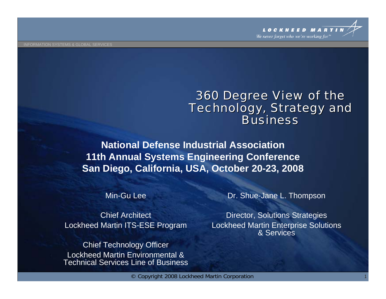#### *360 Degree View of the 360 Degree View of the Technology, Strategy and Technology, Strategy and BusinessBusiness*

**National Defense Industrial Association 11th Annual Systems Engineering Conference San Diego, California, USA, October 20-23, 2008**

Min-Gu Lee

Chief Architect Lockheed Martin ITS-ESE Program

Chief Technology Officer Lockheed Martin Environmental & Technical Services Line of Business Dr. Shue-Jane L. Thompson

Director, Solutions Strategies Lockheed Martin Enterprise Solutions & Services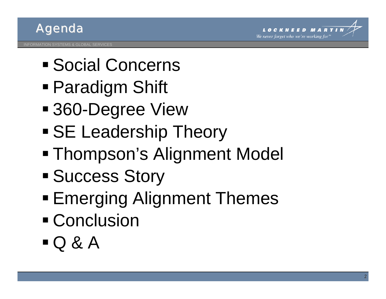



- Social Concerns
- Paradigm Shift
- 360-Degree View
- SE Leadership Theory
- Thompson's Alignment Model
- **Success Story**
- **Emerging Alignment Themes**
- Conclusion
- $\blacksquare$  Q & A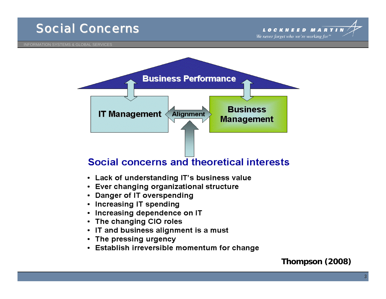

We never forget who we're working for'

INFORMATION SYSTEMS & GLOBAL SERVICES



#### Social concerns and theoretical interests

- Lack of understanding IT's business value
- Ever changing organizational structure
- Danger of IT overspending
- Increasing IT spending
- Increasing dependence on IT
- The changing CIO roles
- IT and business alignment is a must
- The pressing urgency
- Establish irreversible momentum for change

#### **Thompson (2008)**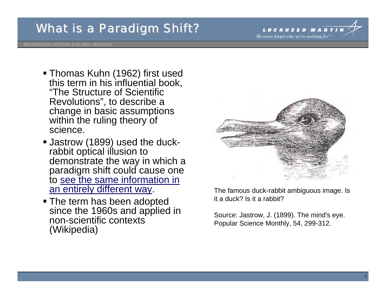#### *What is a Paradigm Shift? What is a Paradigm Shift?*



INFORMATION SYSTEMS & GLOBAL SERVICES

- Thomas Kuhn (1962) first used this term in his influential book, "The Structure of Scientific Revolutions", to describe a change in basic assumptions within the ruling theory of science.
- Jastrow (1899) used the duckrabbit optical illusion to demonstrate the way in which a paradigm shift could cause one to see the same information in an entirely different way.
- The term has been adopted since the 1960s and applied in non-scientific contexts (Wikipedia)



The famous duck-rabbit ambiguous image. Is it a duck? Is it a rabbit?

Source: Jastrow, J. (1899). The mind's eye. Popular Science Monthly, 54, 299-312.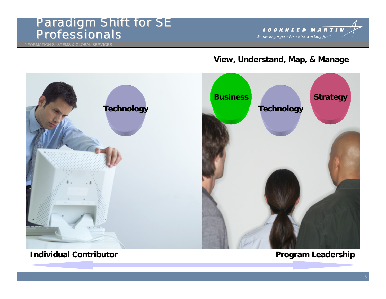#### *Paradigm Shift for SE Paradigm Shift for SE Professionals Professionals*

INFORMATION SYSTEMS & GLOBAL SERVICES



#### **View, Understand, Map, & Manage**



#### **Individual Contributor**

#### **Program Leadership**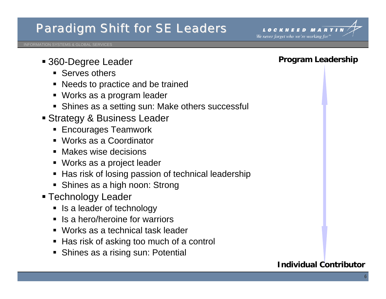#### *Paradigm Shift for SE Leaders Paradigm Shift for SE Leaders*



INFORMATION SYSTEMS & GLOBAL SERVICES

- 360-Degree Leader
	- **Serves others**
	- Needs to practice and be trained
	- Works as a program leader
	- Shines as a setting sun: Make others successful
- Strategy & Business Leader
	- **Encourages Teamwork**
	- Works as a Coordinator
	- **Makes wise decisions**
	- Works as a project leader
	- **Has risk of losing passion of technical leadership**
	- **Shines as a high noon: Strong**
- Technology Leader
	- **Ioma** Is a leader of technology
	- **If** Is a hero/heroine for warriors
	- Works as a technical task leader
	- Has risk of asking too much of a control
	- **Shines as a rising sun: Potential**

#### **Program Leadership**

#### **Individual Contributor**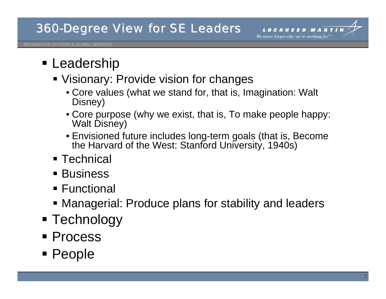

### **- Leadership**

- **Visionary: Provide vision for changes** 
	- Core values (what we stand for, that is, Imagination: Walt Disney)
	- Core purpose (why we exist, that is, To make people happy: Walt Disney)
	- Envisioned future includes long-term goals (that is, Become the Harvard of the West: Stanford University, 1940s)
- Technical
- Business
- Functional
- Managerial: Produce plans for stability and leaders
- Technology
- Process
- People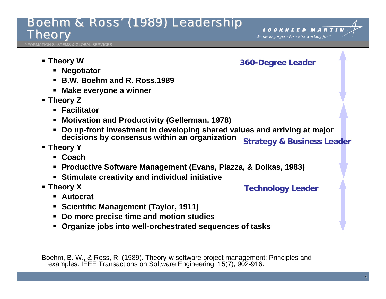#### *Boehm & Ross' (1989) Leadership Boehm & Ross' (1989) Leadership Theory*



**TION SYSTEMS & GLOBAL SERVICES** 

**Theory W**

**360-Degree Leader**

**Technology Leader**

- **Negotiator**
- **B.W. Boehm and R. Ross,1989**
- **Make everyone a winner**
- **Theory Z**
	- **Facilitator**
	- **Motivation and Productivity (Gellerman, 1978)**
	- $\blacksquare$  **Do up-front investment in developing shared values and arriving at major decisions by consensus within an organization Strategy & Business Leader**
- **Theory Y**
	- **Coach**
	- **Productive Software Management (Evans, Piazza, & Dolkas, 1983)**
	- **Stimulate creativity and individual initiative**
- **Theory X**
	- **Autocrat**
	- **Scientific Management (Taylor, 1911)**
	- **Do more precise time and motion studies**
	- **Organize jobs into well-orchestrated sequences of tasks**

Boehm, B. W., & Ross, R. (1989). Theory-w software project management: Principles and examples. IEEE Transactions on Software Engineering, 15(7), 902-916.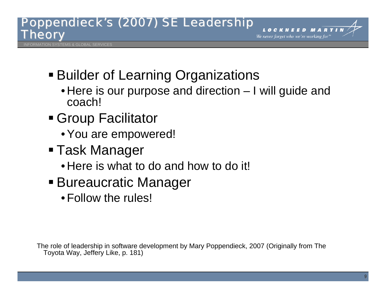#### *Poppendieck's (2007) SE Leadership Poppendieck's (2007) SE Leadership Theory*



**ATION SYSTEMS & GLOBAL SERVICES** 

- Builder of Learning Organizations
	- Here is our purpose and direction I will guide and coach!
- Group Facilitator
	- You are empowered!
- Task Manager
	- Here is what to do and how to do it!
- Bureaucratic Manager
	- Follow the rules!

The role of leadership in software development by Mary Poppendieck, 2007 (Originally from The Toyota Way, Jeffery Like, p. 181)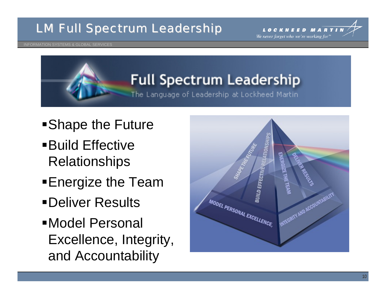#### *LM Full Spectrum Leadership LM Full Spectrum Leadership*



#### INFORMATION SYSTEMS & GLOBAL SERVICES

## **Full Spectrum Leadership**

The Language of Leadership at Lockheed Martin

- Shape the Future
- Build Effective Relationships
- **Energize the Team**
- Deliver Results
- Model Personal Excellence, Integrity, and Accountability

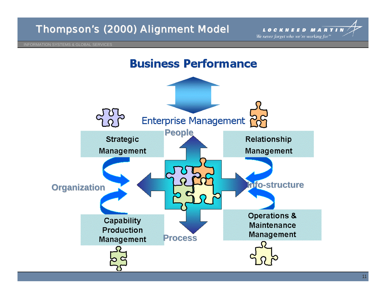



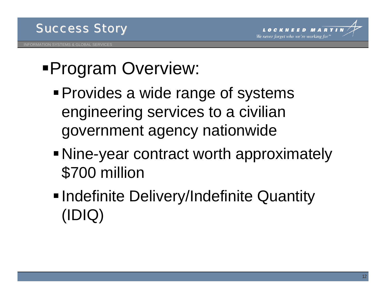

## Program Overview:

- **Provides a wide range of systems** engineering services to a civilian government agency nationwide
- Nine-year contract worth approximately \$700 million
- **Indefinite Delivery/Indefinite Quantity** (IDIQ)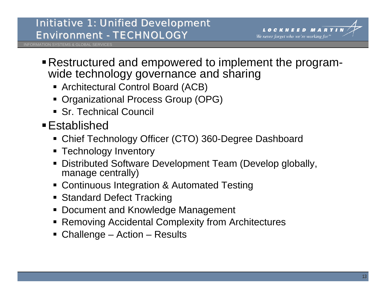#### *Initiative 1: Unified Development Initiative 1: Unified Development Environment Environment - TECHNOLOGY TECHNOLOGY*



INFORMATION SYSTEMS & GLOBAL SERVICES

- Restructured and empowered to implement the programwide technology governance and sharing
	- Architectural Control Board (ACB)
	- Organizational Process Group (OPG)
	- Sr. Technical Council
- Established
	- Chief Technology Officer (CTO) 360-Degree Dashboard
	- **Technology Inventory**
	- Distributed Software Development Team (Develop globally, manage centrally)
	- Continuous Integration & Automated Testing
	- **Standard Defect Tracking**
	- Document and Knowledge Management
	- Removing Accidental Complexity from Architectures
	- Challenge Action Results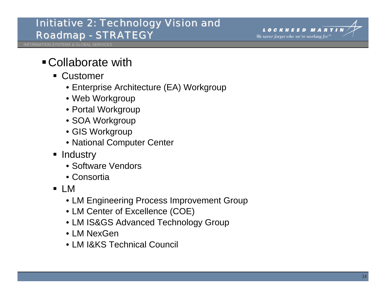#### *Initiative 2: Initiative 2: Technology Vision and Technology Vision and*  $Roadmap - STRATEGY$

**INFORMATION SYSTEMS & GLOBAL SERVICE** 

#### Collaborate with

- Customer
	- Enterprise Architecture (EA) Workgroup
	- Web Workgroup
	- Portal Workgroup
	- SOA Workgroup
	- GIS Workgroup
	- National Computer Center
- Industry
	- Software Vendors
	- Consortia
- LM
	- LM Engineering Process Improvement Group
	- LM Center of Excellence (COE)
	- LM IS&GS Advanced Technology Group
	- LM NexGen
	- LM I&KS Technical Council

We never forget who we're working for'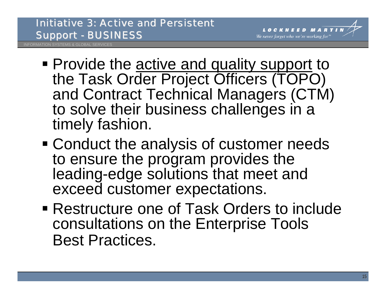

INFORMATION SYSTEMS & GLOBAL SERVICES

- **Provide the active and quality support to** the Task Order Project Officers (TOPO) and Contract Technical Managers (CTM) to solve their business challenges in a timely fashion.
- Conduct the analysis of customer needs to ensure the program provides the leading-edge solutions that meet and exceed customer expectations.
- Restructure one of Task Orders to include consultations on the Enterprise Tools Best Practices.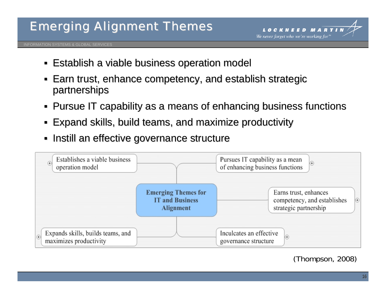#### *Emerging Alignment Theme Emerging Alignment Themes*



INFORMATION SYSTEMS & GLOBAL SERVICES

- **Establish a viable business operation model Establish a viable business operation model**
- $\blacksquare$  Earn trust, enhance competency, and establish strategic partnerships
- $\textsf{\textbf{I}}$  Pursue IT capability as a means of enhancing business functions
- **Expand skills, build teams, and maximize productivity Expand skills, build teams**
- **Instill an effective governance structure**



(Thompson, 2008)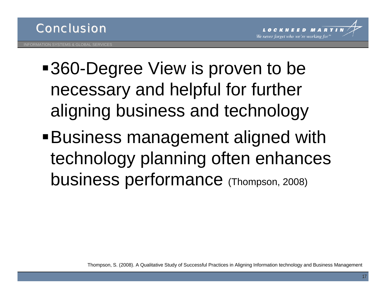

- ■360-Degree View is proven to be necessary and helpful for further aligning business and technology
- Business management aligned with technology planning often enhances business performance (Thompson, 2008)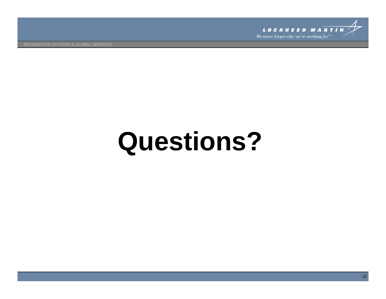

INFORMATION SYSTEMS & GLOBAL SERVICES

# **Questions?**